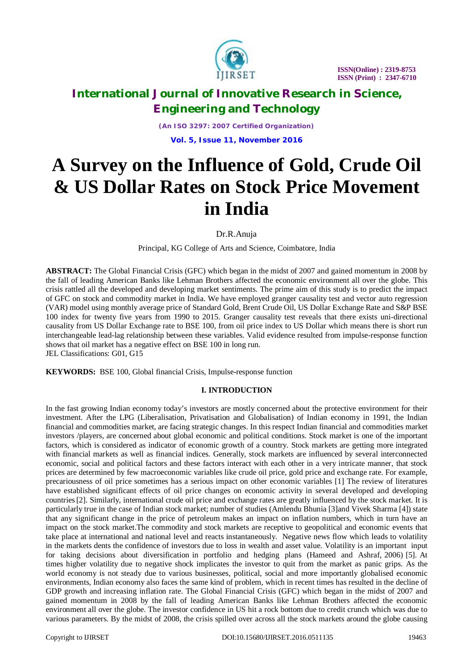

*(An ISO 3297: 2007 Certified Organization)* **Vol. 5, Issue 11, November 2016**

# **A Survey on the Influence of Gold, Crude Oil & US Dollar Rates on Stock Price Movement in India**

Dr.R.Anuja

Principal, KG College of Arts and Science, Coimbatore, India

**ABSTRACT:** The Global Financial Crisis (GFC) which began in the midst of 2007 and gained momentum in 2008 by the fall of leading American Banks like Lehman Brothers affected the economic environment all over the globe. This crisis rattled all the developed and developing market sentiments. The prime aim of this study is to predict the impact of GFC on stock and commodity market in India. We have employed granger causality test and vector auto regression (VAR) model using monthly average price of Standard Gold, Brent Crude Oil, US Dollar Exchange Rate and S&P BSE 100 index for twenty five years from 1990 to 2015. Granger causality test reveals that there exists uni-directional causality from US Dollar Exchange rate to BSE 100, from oil price index to US Dollar which means there is short run interchangeable lead-lag relationship between these variables. Valid evidence resulted from impulse-response function shows that oil market has a negative effect on BSE 100 in long run. JEL Classifications: G01, G15

**KEYWORDS:** BSE 100, Global financial Crisis, Impulse-response function

### **I. INTRODUCTION**

In the fast growing Indian economy today's investors are mostly concerned about the protective environment for their investment. After the LPG (Liberalisation, Privatisation and Globalisation) of Indian economy in 1991, the Indian financial and commodities market, are facing strategic changes. In this respect Indian financial and commodities market investors /players, are concerned about global economic and political conditions. Stock market is one of the important factors, which is considered as indicator of economic growth of a country. Stock markets are getting more integrated with financial markets as well as financial indices. Generally, stock markets are influenced by several interconnected economic, social and political factors and these factors interact with each other in a very intricate manner, that stock prices are determined by few macroeconomic variables like crude oil price, gold price and exchange rate. For example, precariousness of oil price sometimes has a serious impact on other economic variables [1] The review of literatures have established significant effects of oil price changes on economic activity in several developed and developing countries[2]. Similarly, international crude oil price and exchange rates are greatly influenced by the stock market. It is particularly true in the case of Indian stock market; number of studies (Amlendu Bhunia [3]and Vivek Sharma [4]) state that any significant change in the price of petroleum makes an impact on inflation numbers, which in turn have an impact on the stock market.The commodity and stock markets are receptive to geopolitical and economic events that take place at international and national level and reacts instantaneously. Negative news flow which leads to volatility in the markets dents the confidence of investors due to loss in wealth and asset value. Volatility is an important input for taking decisions about diversification in portfolio and hedging plans (Hameed and Ashraf, 2006) [5]. At times higher volatility due to negative shock implicates the investor to quit from the market as panic grips. As the world economy is not steady due to various businesses, political, social and more importantly globalised economic environments, Indian economy also faces the same kind of problem, which in recent times has resulted in the decline of GDP growth and increasing inflation rate. The Global Financial Crisis (GFC) which began in the midst of 2007 and gained momentum in 2008 by the fall of leading American Banks like Lehman Brothers affected the economic environment all over the globe. The investor confidence in US hit a rock bottom due to credit crunch which was due to various parameters. By the midst of 2008, the crisis spilled over across all the stock markets around the globe causing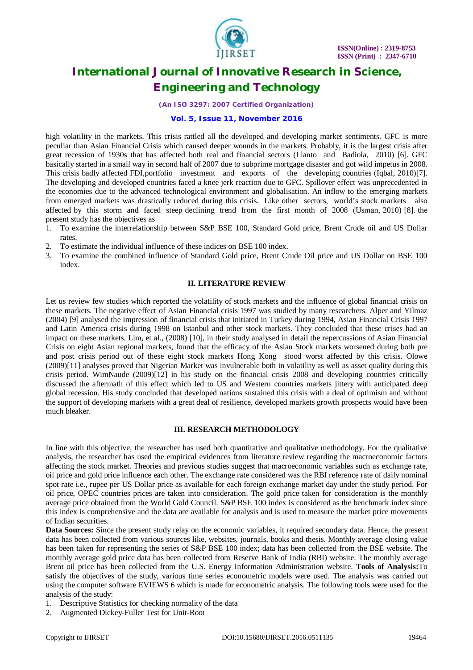

### *(An ISO 3297: 2007 Certified Organization)*

### **Vol. 5, Issue 11, November 2016**

high volatility in the markets. This crisis rattled all the developed and developing market sentiments. GFC is more peculiar than Asian Financial Crisis which caused deeper wounds in the markets. Probably, it is the largest crisis after great recession of 1930s that has affected both real and financial sectors (Llanto and Badiola, 2010) [6]. GFC basically started in a small way in second half of 2007 due to subprime mortgage disaster and got wild impetus in 2008. This crisis badly affected FDI,portfolio investment and exports of the developing countries (Iqbal, 2010)[7]. The developing and developed countries faced a knee jerk reaction due to GFC. Spillover effect was unprecedented in the economies due to the advanced technological environment and globalisation. An inflow to the emerging markets from emerged markets was drastically reduced during this crisis. Like other sectors, world's stock markets also affected by this storm and faced steep declining trend from the first month of 2008 (Usman, 2010) [8]. the present study has the objectives as

- 1. To examine the interrelationship between S&P BSE 100, Standard Gold price, Brent Crude oil and US Dollar rates.
- 2. To estimate the individual influence of these indices on BSE 100 index.
- 3. To examine the combined influence of Standard Gold price, Brent Crude Oil price and US Dollar on BSE 100 index.

### **II. LITERATURE REVIEW**

Let us review few studies which reported the volatility of stock markets and the influence of global financial crisis on these markets. The negative effect of Asian Financial crisis 1997 was studied by many researchers. Alper and Yilmaz (2004) [9] analysed the impression of financial crisis that initiated in Turkey during 1994, Asian Financial Crisis 1997 and Latin America crisis during 1998 on Istanbul and other stock markets. They concluded that these crises had an impact on these markets. Lim, et al., (2008) [10], in their study analysed in detail the repercussions of Asian Financial Crisis on eight Asian regional markets, found that the efficacy of the Asian Stock markets worsened during both pre and post crisis period out of these eight stock markets Hong Kong stood worst affected by this crisis. Olowe (2009)[11] analyses proved that Nigerian Market was invulnerable both in volatility as well as asset quality during this crisis period. WimNaude (2009)[12] in his study on the financial crisis 2008 and developing countries critically discussed the aftermath of this effect which led to US and Western countries markets jittery with anticipated deep global recession. His study concluded that developed nations sustained this crisis with a deal of optimism and without the support of developing markets with a great deal of resilience, developed markets growth prospects would have been much bleaker.

### **III. RESEARCH METHODOLOGY**

In line with this objective, the researcher has used both quantitative and qualitative methodology. For the qualitative analysis, the researcher has used the empirical evidences from literature review regarding the macroeconomic factors affecting the stock market. Theories and previous studies suggest that macroeconomic variables such as exchange rate, oil price and gold price influence each other. The exchange rate considered was the RBI reference rate of daily nominal spot rate i.e., rupee per US Dollar price as available for each foreign exchange market day under the study period. For oil price, OPEC countries prices are taken into consideration. The gold price taken for consideration is the monthly average price obtained from the World Gold Council. S&P BSE 100 index is considered as the benchmark index since this index is comprehensive and the data are available for analysis and is used to measure the market price movements of Indian securities.

**Data Sources:** Since the present study relay on the economic variables, it required secondary data. Hence, the present data has been collected from various sources like, websites, journals, books and thesis. Monthly average closing value has been taken for representing the series of S&P BSE 100 index; data has been collected from the BSE website. The monthly average gold price data has been collected from Reserve Bank of India (RBI) website. The monthly average Brent oil price has been collected from the U.S. Energy Information Administration website. **Tools of Analysis:**To satisfy the objectives of the study, various time series econometric models were used. The analysis was carried out using the computer software EVIEWS 6 which is made for econometric analysis. The following tools were used for the analysis of the study:

- 1. Descriptive Statistics for checking normality of the data
- 2. Augmented Dickey-Fuller Test for Unit-Root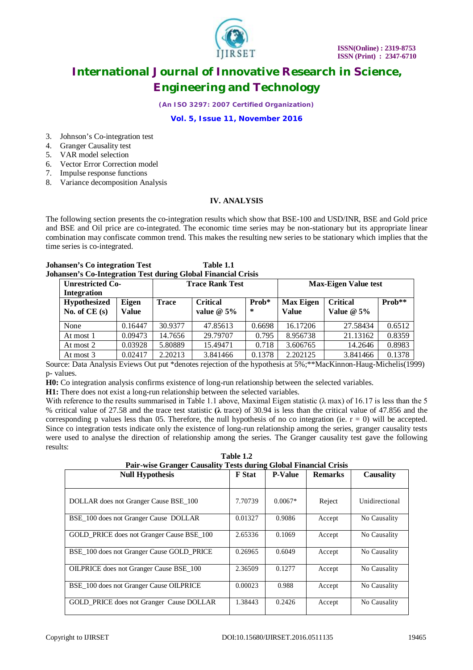

*(An ISO 3297: 2007 Certified Organization)*

### **Vol. 5, Issue 11, November 2016**

- 3. Johnson's Co-integration test
- 4. Granger Causality test
- 5. VAR model selection
- 6. Vector Error Correction model
- 7. Impulse response functions
- 8. Variance decomposition Analysis

### **IV. ANALYSIS**

The following section presents the co-integration results which show that BSE-100 and USD/INR, BSE and Gold price and BSE and Oil price are co-integrated. The economic time series may be non-stationary but its appropriate linear combination may confiscate common trend. This makes the resulting new series to be stationary which implies that the time series is co-integrated.

#### **Johansen's Co integration Test Table 1.1 Johansen's Co-Integration Test during Global Financial Crisis**

| <b>Unrestricted Co-</b><br><b>Integration</b> |                       | <b>Trace Rank Test</b> |                                 |            | <b>Max-Eigen Value test</b>      |                                 |        |
|-----------------------------------------------|-----------------------|------------------------|---------------------------------|------------|----------------------------------|---------------------------------|--------|
| <b>Hypothesized</b><br>No. of $CE(s)$         | Eigen<br><b>Value</b> | <b>Trace</b>           | <b>Critical</b><br>value $@5\%$ | Prob*<br>∗ | <b>Max Eigen</b><br><b>Value</b> | <b>Critical</b><br>Value $@5\%$ | Prob** |
| None                                          | 0.16447               | 30.9377                | 47.85613                        | 0.6698     | 16.17206                         | 27.58434                        | 0.6512 |
| At most 1                                     | 0.09473               | 14.7656                | 29.79707                        | 0.795      | 8.956738                         | 21.13162                        | 0.8359 |
| At most 2                                     | 0.03928               | 5.80889                | 15.49471                        | 0.718      | 3.606765                         | 14.2646                         | 0.8983 |
| At most 3                                     | 0.02417               | 2.20213                | 3.841466                        | 0.1378     | 2.202125                         | 3.841466                        | 0.1378 |

Source: Data Analysis Eviews Out put \*denotes rejection of the hypothesis at 5%;\*\*MacKinnon-Haug-Michelis(1999) p- values.

**H0:** Co integration analysis confirms existence of long-run relationship between the selected variables.

**H1:** There does not exist a long-run relationship between the selected variables.

With reference to the results summarised in Table 1.1 above, Maximal Eigen statistic ( $\lambda$  max) of 16.17 is less than the 5 % critical value of 27.58 and the trace test statistic **(λ** trace) of 30.94 is less than the critical value of 47.856 and the corresponding p values less than 05. Therefore, the null hypothesis of no co integration (ie.  $r = 0$ ) will be accepted. Since co integration tests indicate only the existence of long-run relationship among the series, granger causality tests were used to analyse the direction of relationship among the series. The Granger causality test gave the following results:

| Table 1.2                                                        |
|------------------------------------------------------------------|
| Pair-wise Granger Causality Tests during Global Financial Crisis |

| <b>Null Hypothesis</b>                         | <b>F</b> Stat | 0<br><b>P-Value</b> | <b>Remarks</b> | Causality      |
|------------------------------------------------|---------------|---------------------|----------------|----------------|
| DOLLAR does not Granger Cause BSE 100          | 7.70739       | $0.0067*$           | Reject         | Unidirectional |
| BSE 100 does not Granger Cause DOLLAR          | 0.01327       | 0.9086              | Accept         | No Causality   |
| GOLD PRICE does not Granger Cause BSE 100      | 2.65336       | 0.1069              | Accept         | No Causality   |
| BSE 100 does not Granger Cause GOLD PRICE      | 0.26965       | 0.6049              | Accept         | No Causality   |
| <b>OILPRICE</b> does not Granger Cause BSE 100 | 2.36509       | 0.1277              | Accept         | No Causality   |
| BSE 100 does not Granger Cause OILPRICE        | 0.00023       | 0.988               | Accept         | No Causality   |
| GOLD PRICE does not Granger Cause DOLLAR       | 1.38443       | 0.2426              | Accept         | No Causality   |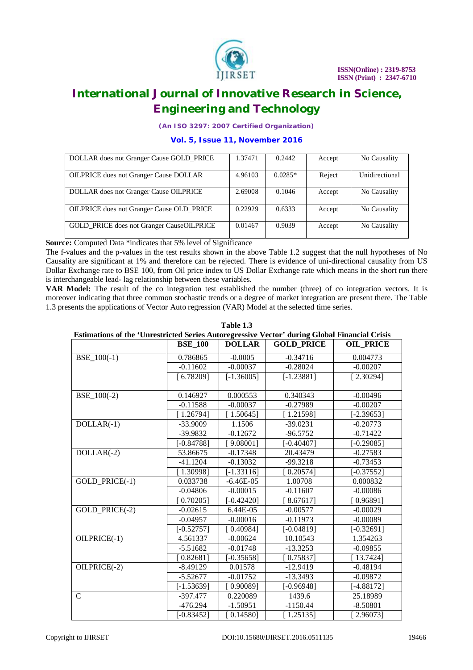

*(An ISO 3297: 2007 Certified Organization)*

### **Vol. 5, Issue 11, November 2016**

| DOLLAR does not Granger Cause GOLD PRICE         | 1.37471 | 0.2442    | Accept | No Causality   |
|--------------------------------------------------|---------|-----------|--------|----------------|
|                                                  |         |           |        |                |
| <b>OILPRICE</b> does not Granger Cause DOLLAR    | 4.96103 | $0.0285*$ | Reject | Unidirectional |
|                                                  |         |           |        |                |
| DOLLAR does not Granger Cause OILPRICE           | 2.69008 | 0.1046    | Accept | No Causality   |
|                                                  |         |           |        |                |
| <b>OILPRICE</b> does not Granger Cause OLD PRICE | 0.22929 | 0.6333    | Accept | No Causality   |
|                                                  |         |           |        |                |
| <b>GOLD</b> PRICE does not Granger CauseOILPRICE | 0.01467 | 0.9039    | Accept | No Causality   |
|                                                  |         |           |        |                |

**Source:** Computed Data \*indicates that 5% level of Significance

The f-values and the p-values in the test results shown in the above Table 1.2 suggest that the null hypotheses of No Causality are significant at 1% and therefore can be rejected. There is evidence of uni-directional causality from US Dollar Exchange rate to BSE 100, from Oil price index to US Dollar Exchange rate which means in the short run there is interchangeable lead- lag relationship between these variables.

**VAR Model:** The result of the co integration test established the number (three) of co integration vectors. It is moreover indicating that three common stochastic trends or a degree of market integration are present there. The Table 1.3 presents the applications of Vector Auto regression (VAR) Model at the selected time series.

|                                                                                                                | <b>BSE_100</b> | <b>DOLLAR</b> | <b>GOLD_PRICE</b> | <b>OIL_PRICE</b> |
|----------------------------------------------------------------------------------------------------------------|----------------|---------------|-------------------|------------------|
|                                                                                                                | 0.786865       | $-0.0005$     | $-0.34716$        | 0.004773         |
|                                                                                                                | $-0.11602$     | $-0.00037$    | $-0.28024$        | $-0.00207$       |
|                                                                                                                | [6.78209]      | $[-1.36005]$  | $[-1.23881]$      | [2.30294]        |
| $BSE_100(-2)$                                                                                                  | 0.146927       | 0.000553      | 0.340343          | $-0.00496$       |
|                                                                                                                | $-0.11588$     | $-0.00037$    | $-0.27989$        | $-0.00207$       |
|                                                                                                                | [1.26794]      | [1.50645]     | [1.21598]         | $[-2.39653]$     |
| $DOLLAR(-1)$                                                                                                   | $-33.9009$     | 1.1506        | $-39.0231$        | $-0.20773$       |
|                                                                                                                | $-39.9832$     | $-0.12672$    | $-96.5752$        | $-0.71422$       |
| Estimations of the 'Unrestricted Series Autoregressive Vector' during Global Financial Crisis<br>$BSE_100(-1)$ | $[-0.84788]$   | $9.08001$ ]   | $[-0.40407]$      | $[-0.29085]$     |
|                                                                                                                | 53.86675       | $-0.17348$    | 20.43479          | $-0.27583$       |
|                                                                                                                | $-41.1204$     | $-0.13032$    | $-99.3218$        | $-0.73453$       |
| $DOLLAR(-2)$<br>GOLD_PRICE(-1)                                                                                 | [1.30998]      | $[-1.33116]$  | [0.20574]         | $[-0.37552]$     |
|                                                                                                                | 0.033738       | $-6.46E-05$   | 1.00708           | 0.000832         |
|                                                                                                                | $-0.04806$     | $-0.00015$    | $-0.11607$        | $-0.00086$       |
|                                                                                                                | 0.702051       | $[-0.42420]$  | 8.67617           | [0.96891]        |
| GOLD PRICE(-2)                                                                                                 | $-0.02615$     | 6.44E-05      | $-0.00577$        | $-0.00029$       |
|                                                                                                                | $-0.04957$     | $-0.00016$    | $-0.11973$        | $-0.00089$       |
|                                                                                                                | $[-0.52757]$   | [0.40984]     | $[-0.04819]$      | $[-0.32691]$     |
| OILPRICE(-1)                                                                                                   | 4.561337       | $-0.00624$    | 10.10543          | 1.354263         |
|                                                                                                                | $-5.51682$     | $-0.01748$    | $-13.3253$        | $-0.09855$       |
|                                                                                                                | 0.82681        | $[-0.35658]$  | [0.75837]         | [13.7424]        |
| OILPRICE(-2)                                                                                                   | $-8.49129$     | 0.01578       | $-12.9419$        | $-0.48194$       |
|                                                                                                                | $-5.52677$     | $-0.01752$    | $-13.3493$        | $-0.09872$       |
|                                                                                                                | $[-1.53639]$   | $0.90089$ ]   | $[-0.96948]$      | $[-4.88172]$     |
| $\mathcal{C}$                                                                                                  | $-397.477$     | 0.220089      | 1439.6            | 25.18989         |
|                                                                                                                | $-476.294$     | $-1.50951$    | $-1150.44$        | $-8.50801$       |
|                                                                                                                | $[-0.83452]$   | [0.14580]     | [1.25135]         | 2.96073          |

## **Table 1.3**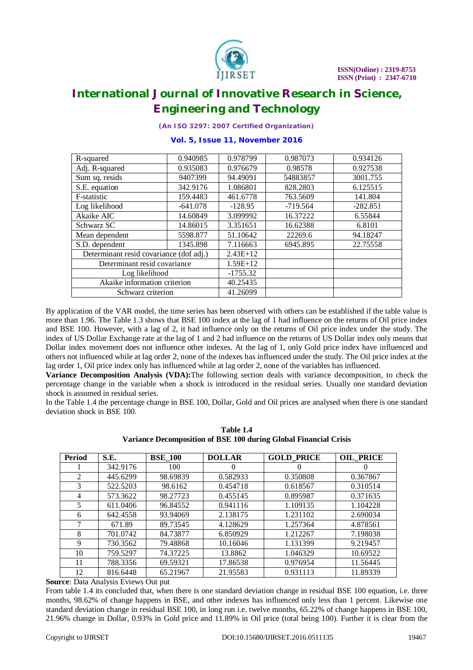

*(An ISO 3297: 2007 Certified Organization)*

### **Vol. 5, Issue 11, November 2016**

| R-squared                               | 0.940985   | 0.978799  | 0.987073   | 0.934126   |
|-----------------------------------------|------------|-----------|------------|------------|
| Adj. R-squared                          | 0.935083   | 0.976679  | 0.98578    | 0.927538   |
| Sum sq. resids                          | 9407399    | 94.49091  | 54883857   | 3001.755   |
| S.E. equation                           | 342.9176   | 1.086801  | 828.2803   | 6.125515   |
| F-statistic                             | 159.4483   | 461.6778  | 763.5609   | 141.804    |
| Log likelihood                          | $-641.078$ | $-128.95$ | $-719.564$ | $-282.851$ |
| Akaike AIC                              | 14.60849   | 3.099992  | 16.37222   | 6.55844    |
| Schwarz SC                              | 14.86015   | 3.351651  | 16.62388   | 6.8101     |
| Mean dependent                          | 5598.877   | 51.10642  | 22269.6    | 94.18247   |
| S.D. dependent                          | 1345.898   | 7.116663  | 6945.895   | 22.75558   |
| Determinant resid covariance (dof adj.) | $2.43E+12$ |           |            |            |
| Determinant resid covariance            | $1.59E+12$ |           |            |            |
| Log likelihood                          | $-1755.32$ |           |            |            |
| Akaike information criterion            | 40.25435   |           |            |            |
| Schwarz criterion                       | 41.26099   |           |            |            |

By application of the VAR model, the time series has been observed with others can be established if the table value is more than 1.96. The Table 1.3 shows that BSE 100 index at the lag of 1 had influence on the returns of Oil price index and BSE 100. However, with a lag of 2, it had influence only on the returns of Oil price index under the study. The index of US Dollar Exchange rate at the lag of 1 and 2 had influence on the returns of US Dollar index only means that Dollar index movement does not influence other indexes. At the lag of 1, only Gold price index have influenced and others not influenced while at lag order 2, none of the indexes has influenced under the study. The Oil price index at the lag order 1, Oil price index only has influenced while at lag order 2, none of the variables has influenced.

**Variance Decomposition Analysis (VDA):**The following section deals with variance decomposition, to check the percentage change in the variable when a shock is introduced in the residual series. Usually one standard deviation shock is assumed in residual series.

In the Table 1.4 the percentage change in BSE 100, Dollar, Gold and Oil prices are analysed when there is one standard deviation shock in BSE 100.

| <b>Period</b> | S.E.     | <b>BSE 100</b> | <b>DOLLAR</b> | <b>GOLD PRICE</b> | <b>OIL PRICE</b> |
|---------------|----------|----------------|---------------|-------------------|------------------|
|               | 342.9176 | 100            | $\theta$      |                   | 0                |
| 2             | 445.6299 | 98.69839       | 0.582933      | 0.350808          | 0.367867         |
| 3             | 522.5203 | 98.6162        | 0.454718      | 0.618567          | 0.310514         |
| 4             | 573.3622 | 98.27723       | 0.455145      | 0.895987          | 0.371635         |
| 5.            | 611.0406 | 96.84552       | 0.941116      | 1.109135          | 1.104228         |
| 6             | 642.4558 | 93.94069       | 2.138175      | 1.231102          | 2.690034         |
|               | 671.89   | 89.73545       | 4.128629      | 1.257364          | 4.878561         |
| 8             | 701.0742 | 84.73877       | 6.850929      | 1.212267          | 7.198038         |
| 9             | 730.3562 | 79.48868       | 10.16046      | 1.131399          | 9.219457         |
| 10            | 759.5297 | 74.37225       | 13.8862       | 1.046329          | 10.69522         |
| 11            | 788.3356 | 69.59321       | 17.86538      | 0.976954          | 11.56445         |
| 12            | 816.6448 | 65.21967       | 21.95583      | 0.931113          | 11.89339         |

**Table 1.4 Variance Decomposition of BSE 100 during Global Financial Crisis**

**Source**: Data Analysis Eviews Out put

From table 1.4 its concluded that, when there is one standard deviation change in residual BSE 100 equation, i.e. three months, 98.62% of change happens in BSE, and other indexes has influenced only less than 1 percent. Likewise one standard deviation change in residual BSE 100, in long run i.e. twelve months, 65.22% of change happens in BSE 100, 21.96% change in Dollar, 0.93% in Gold price and 11.89% in Oil price (total being 100). Further it is clear from the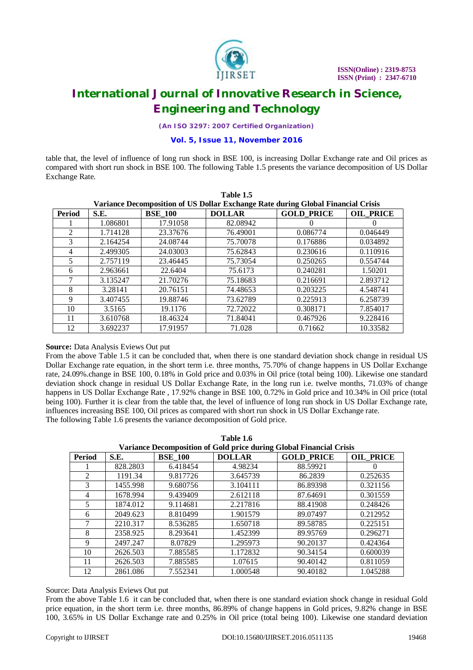

*(An ISO 3297: 2007 Certified Organization)*

**Vol. 5, Issue 11, November 2016**

table that, the level of influence of long run shock in BSE 100, is increasing Dollar Exchange rate and Oil prices as compared with short run shock in BSE 100. The following Table 1.5 presents the variance decomposition of US Dollar Exchange Rate.

| Table 1.5                                                                        |          |                |               |                   |                  |  |  |
|----------------------------------------------------------------------------------|----------|----------------|---------------|-------------------|------------------|--|--|
| Variance Decomposition of US Dollar Exchange Rate during Global Financial Crisis |          |                |               |                   |                  |  |  |
| <b>Period</b>                                                                    | S.E.     | <b>BSE_100</b> | <b>DOLLAR</b> | <b>GOLD PRICE</b> | <b>OIL PRICE</b> |  |  |
|                                                                                  | 1.086801 | 17.91058       | 82.08942      | $\theta$          |                  |  |  |
| $\mathfrak{D}$                                                                   | 1.714128 | 23.37676       | 76.49001      | 0.086774          | 0.046449         |  |  |
| 3                                                                                | 2.164254 | 24.08744       | 75.70078      | 0.176886          | 0.034892         |  |  |
| 4                                                                                | 2.499305 | 24.03003       | 75.62843      | 0.230616          | 0.110916         |  |  |
| 5                                                                                | 2.757119 | 23.46445       | 75.73054      | 0.250265          | 0.554744         |  |  |
| 6                                                                                | 2.963661 | 22.6404        | 75.6173       | 0.240281          | 1.50201          |  |  |
| 7                                                                                | 3.135247 | 21.70276       | 75.18683      | 0.216691          | 2.893712         |  |  |
| 8                                                                                | 3.28141  | 20.76151       | 74.48653      | 0.203225          | 4.548741         |  |  |
| 9                                                                                | 3.407455 | 19.88746       | 73.62789      | 0.225913          | 6.258739         |  |  |
| 10                                                                               | 3.5165   | 19.1176        | 72.72022      | 0.308171          | 7.854017         |  |  |
| 11                                                                               | 3.610768 | 18.46324       | 71.84041      | 0.467926          | 9.228416         |  |  |
| 12                                                                               | 3.692237 | 17.91957       | 71.028        | 0.71662           | 10.33582         |  |  |

### **Source:** Data Analysis Eviews Out put

From the above Table 1.5 it can be concluded that, when there is one standard deviation shock change in residual US Dollar Exchange rate equation, in the short term i.e. three months, 75.70% of change happens in US Dollar Exchange rate, 24.09%.change in BSE 100, 0.18% in Gold price and 0.03% in Oil price (total being 100). Likewise one standard deviation shock change in residual US Dollar Exchange Rate, in the long run i.e. twelve months, 71.03% of change happens in US Dollar Exchange Rate , 17.92% change in BSE 100, 0.72% in Gold price and 10.34% in Oil price (total being 100). Further it is clear from the table that, the level of influence of long run shock in US Dollar Exchange rate, influences increasing BSE 100, Oil prices as compared with short run shock in US Dollar Exchange rate. The following Table 1.6 presents the variance decomposition of Gold price.

| Variance Decomposition of Gold price during Global Financial Crisis |          |                |               |                   |                  |  |  |
|---------------------------------------------------------------------|----------|----------------|---------------|-------------------|------------------|--|--|
| <b>Period</b>                                                       | S.E.     | <b>BSE_100</b> | <b>DOLLAR</b> | <b>GOLD PRICE</b> | <b>OIL PRICE</b> |  |  |
|                                                                     | 828.2803 | 6.418454       | 4.98234       | 88.59921          |                  |  |  |
| $\mathfrak{D}$                                                      | 1191.34  | 9.817726       | 3.645739      | 86.2839           | 0.252635         |  |  |
| 3                                                                   | 1455.998 | 9.680756       | 3.104111      | 86.89398          | 0.321156         |  |  |
| 4                                                                   | 1678.994 | 9.439409       | 2.612118      | 87.64691          | 0.301559         |  |  |
| 5                                                                   | 1874.012 | 9.114681       | 2.217816      | 88.41908          | 0.248426         |  |  |
| 6                                                                   | 2049.623 | 8.810499       | 1.901579      | 89.07497          | 0.212952         |  |  |
|                                                                     | 2210.317 | 8.536285       | 1.650718      | 89.58785          | 0.225151         |  |  |
| 8                                                                   | 2358.925 | 8.293641       | 1.452399      | 89.95769          | 0.296271         |  |  |
| 9                                                                   | 2497.247 | 8.07829        | 1.295973      | 90.20137          | 0.424364         |  |  |
| 10                                                                  | 2626.503 | 7.885585       | 1.172832      | 90.34154          | 0.600039         |  |  |
| 11                                                                  | 2626.503 | 7.885585       | 1.07615       | 90.40142          | 0.811059         |  |  |
| 12                                                                  | 2861.086 | 7.552341       | 1.000548      | 90.40182          | 1.045288         |  |  |

**Table 1.6**

### Source: Data Analysis Eviews Out put

From the above Table 1.6 it can be concluded that, when there is one standard eviation shock change in residual Gold price equation, in the short term i.e. three months, 86.89% of change happens in Gold prices, 9.82% change in BSE 100, 3.65% in US Dollar Exchange rate and 0.25% in Oil price (total being 100). Likewise one standard deviation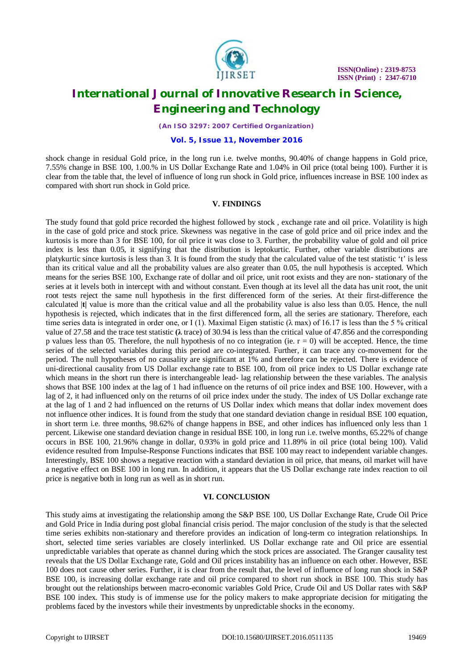

*(An ISO 3297: 2007 Certified Organization)*

### **Vol. 5, Issue 11, November 2016**

shock change in residual Gold price, in the long run i.e. twelve months, 90.40% of change happens in Gold price, 7.55% change in BSE 100, 1.00.% in US Dollar Exchange Rate and 1.04% in Oil price (total being 100). Further it is clear from the table that, the level of influence of long run shock in Gold price, influences increase in BSE 100 index as compared with short run shock in Gold price.

### **V. FINDINGS**

The study found that gold price recorded the highest followed by stock , exchange rate and oil price. Volatility is high in the case of gold price and stock price. Skewness was negative in the case of gold price and oil price index and the kurtosis is more than 3 for BSE 100, for oil price it was close to 3. Further, the probability value of gold and oil price index is less than 0.05, it signifying that the distribution is leptokurtic. Further, other variable distributions are platykurtic since kurtosis is less than 3. It is found from the study that the calculated value of the test statistic 't' is less than its critical value and all the probability values are also greater than 0.05, the null hypothesis is accepted. Which means for the series BSE 100, Exchange rate of dollar and oil price, unit root exists and they are non- stationary of the series at it levels both in intercept with and without constant. Even though at its level all the data has unit root, the unit root tests reject the same null hypothesis in the first differenced form of the series. At their first-difference the calculated |**t|** value is more than the critical value and all the probability value is also less than 0.05. Hence, the null hypothesis is rejected, which indicates that in the first differenced form, all the series are stationary. Therefore, each time series data is integrated in order one, or I (1). Maximal Eigen statistic ( $\lambda$  max) of 16.17 is less than the 5 % critical value of 27.58 and the trace test statistic **(λ** trace) of 30.94 is less than the critical value of 47.856 and the corresponding p values less than 05. Therefore, the null hypothesis of no co integration (ie.  $r = 0$ ) will be accepted. Hence, the time series of the selected variables during this period are co-integrated. Further, it can trace any co-movement for the period. The null hypotheses of no causality are significant at 1% and therefore can be rejected. There is evidence of uni-directional causality from US Dollar exchange rate to BSE 100, from oil price index to US Dollar exchange rate which means in the short run there is interchangeable lead- lag relationship between the these variables. The analysis shows that BSE 100 index at the lag of 1 had influence on the returns of oil price index and BSE 100. However, with a lag of 2, it had influenced only on the returns of oil price index under the study. The index of US Dollar exchange rate at the lag of 1 and 2 had influenced on the returns of US Dollar index which means that dollar index movement does not influence other indices. It is found from the study that one standard deviation change in residual BSE 100 equation, in short term i.e. three months, 98.62% of change happens in BSE, and other indices has influenced only less than 1 percent. Likewise one standard deviation change in residual BSE 100, in long run i.e. twelve months, 65.22% of change occurs in BSE 100, 21.96% change in dollar, 0.93% in gold price and 11.89% in oil price (total being 100). Valid evidence resulted from Impulse-Response Functions indicates that BSE 100 may react to independent variable changes. Interestingly, BSE 100 shows a negative reaction with a standard deviation in oil price, that means, oil market will have a negative effect on BSE 100 in long run. In addition, it appears that the US Dollar exchange rate index reaction to oil price is negative both in long run as well as in short run.

### **VI. CONCLUSION**

This study aims at investigating the relationship among the S&P BSE 100, US Dollar Exchange Rate, Crude Oil Price and Gold Price in India during post global financial crisis period. The major conclusion of the study is that the selected time series exhibits non-stationary and therefore provides an indication of long-term co integration relationships. In short, selected time series variables are closely interlinked. US Dollar exchange rate and Oil price are essential unpredictable variables that operate as channel during which the stock prices are associated. The Granger causality test reveals that the US Dollar Exchange rate, Gold and Oil prices instability has an influence on each other. However, BSE 100 does not cause other series. Further, it is clear from the result that, the level of influence of long run shock in S&P BSE 100, is increasing dollar exchange rate and oil price compared to short run shock in BSE 100. This study has brought out the relationships between macro-economic variables Gold Price, Crude Oil and US Dollar rates with S&P BSE 100 index. This study is of immense use for the policy makers to make appropriate decision for mitigating the problems faced by the investors while their investments by unpredictable shocks in the economy.